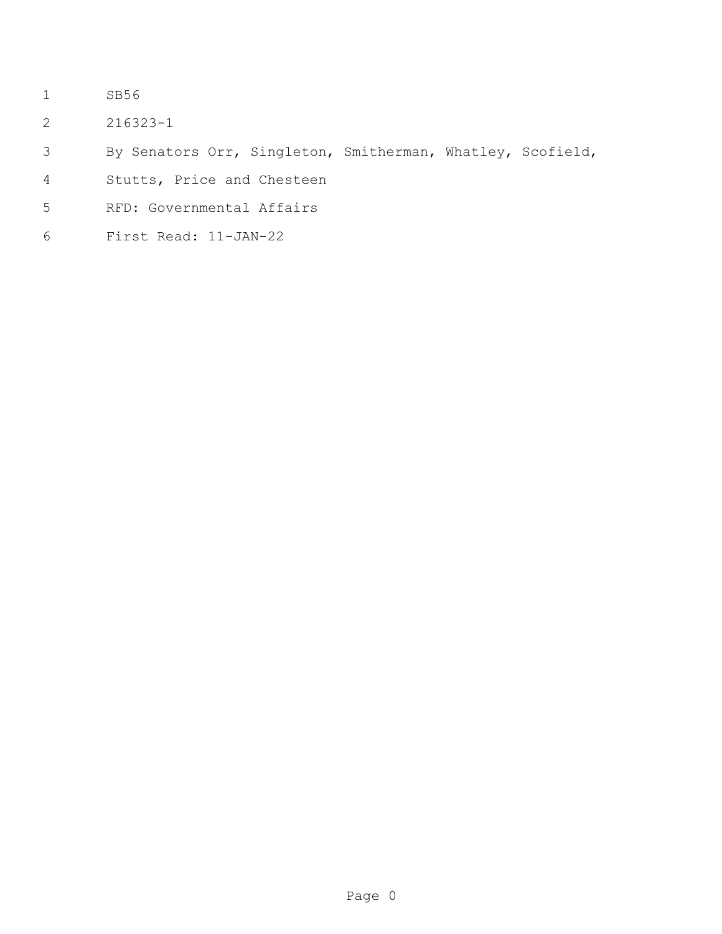- SB56
- 216323-1
- By Senators Orr, Singleton, Smitherman, Whatley, Scofield,
- Stutts, Price and Chesteen
- RFD: Governmental Affairs
- First Read: 11-JAN-22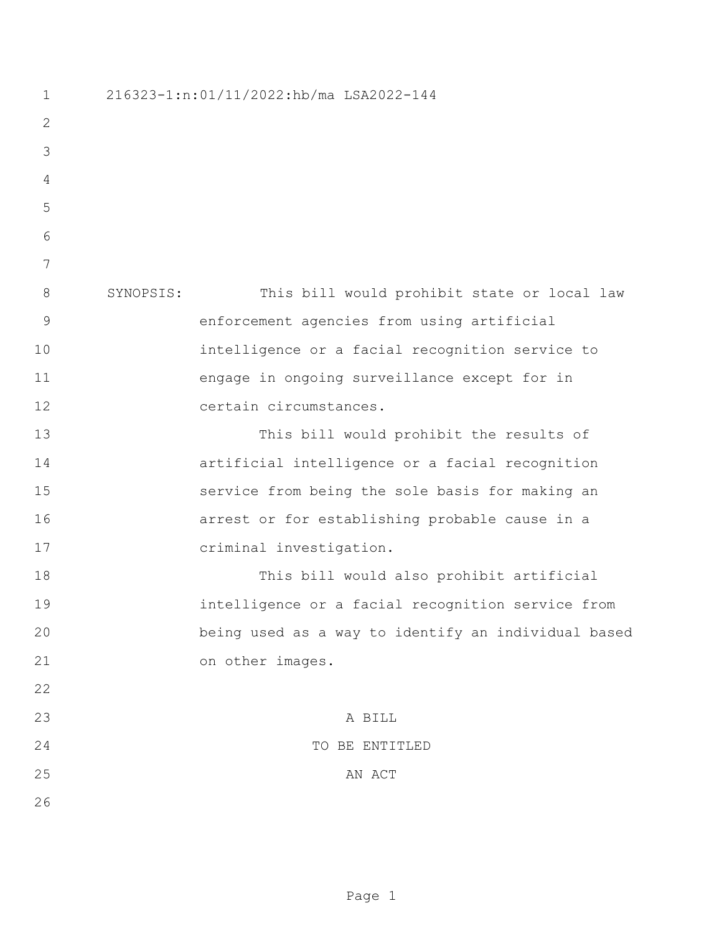216323-1:n:01/11/2022:hb/ma LSA2022-144 SYNOPSIS: This bill would prohibit state or local law enforcement agencies from using artificial intelligence or a facial recognition service to engage in ongoing surveillance except for in certain circumstances. This bill would prohibit the results of artificial intelligence or a facial recognition service from being the sole basis for making an arrest or for establishing probable cause in a criminal investigation. This bill would also prohibit artificial intelligence or a facial recognition service from being used as a way to identify an individual based on other images. A BILL TO BE ENTITLED 25 AN ACT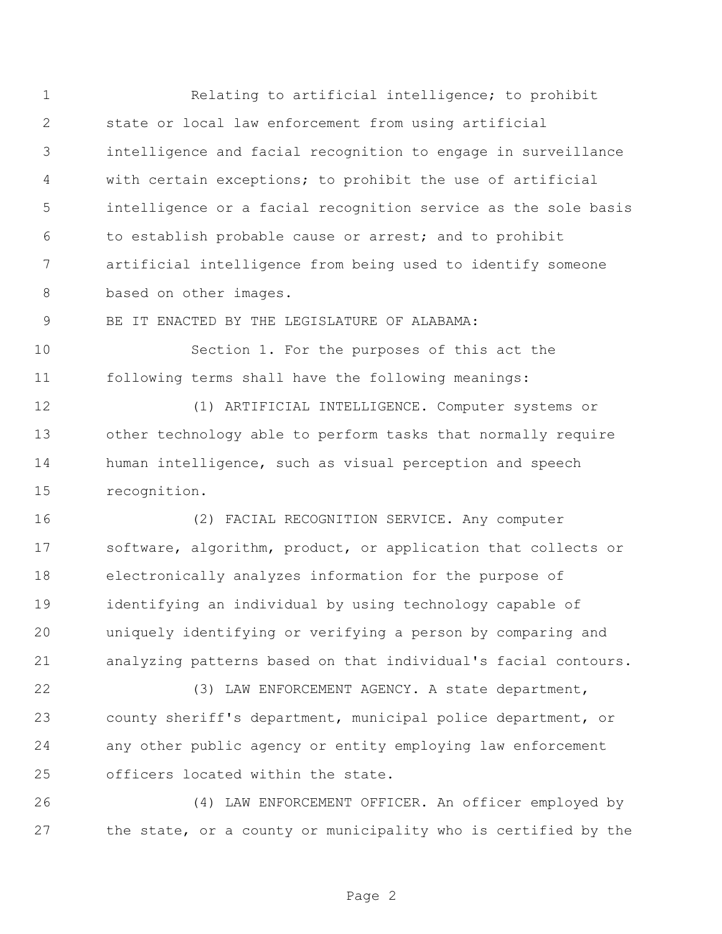Relating to artificial intelligence; to prohibit state or local law enforcement from using artificial intelligence and facial recognition to engage in surveillance with certain exceptions; to prohibit the use of artificial intelligence or a facial recognition service as the sole basis to establish probable cause or arrest; and to prohibit artificial intelligence from being used to identify someone 8 based on other images.

BE IT ENACTED BY THE LEGISLATURE OF ALABAMA:

 Section 1. For the purposes of this act the following terms shall have the following meanings:

 (1) ARTIFICIAL INTELLIGENCE. Computer systems or other technology able to perform tasks that normally require human intelligence, such as visual perception and speech recognition.

 (2) FACIAL RECOGNITION SERVICE. Any computer software, algorithm, product, or application that collects or electronically analyzes information for the purpose of identifying an individual by using technology capable of uniquely identifying or verifying a person by comparing and analyzing patterns based on that individual's facial contours.

 (3) LAW ENFORCEMENT AGENCY. A state department, county sheriff's department, municipal police department, or any other public agency or entity employing law enforcement officers located within the state.

 (4) LAW ENFORCEMENT OFFICER. An officer employed by the state, or a county or municipality who is certified by the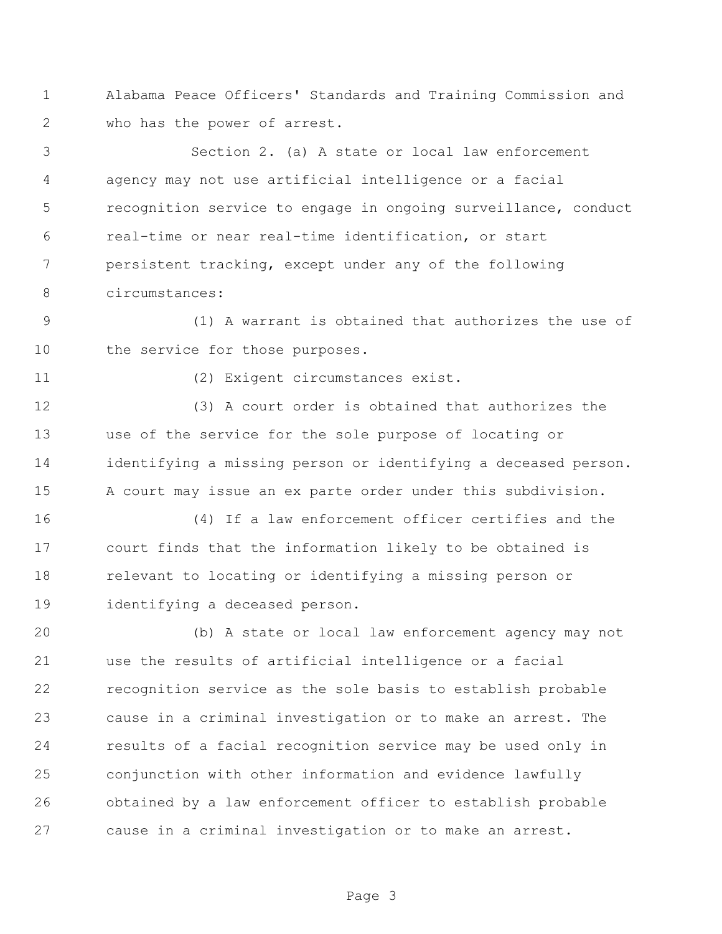Alabama Peace Officers' Standards and Training Commission and who has the power of arrest.

 Section 2. (a) A state or local law enforcement agency may not use artificial intelligence or a facial recognition service to engage in ongoing surveillance, conduct real-time or near real-time identification, or start persistent tracking, except under any of the following circumstances:

 (1) A warrant is obtained that authorizes the use of the service for those purposes.

(2) Exigent circumstances exist.

 (3) A court order is obtained that authorizes the use of the service for the sole purpose of locating or identifying a missing person or identifying a deceased person. A court may issue an ex parte order under this subdivision.

 (4) If a law enforcement officer certifies and the court finds that the information likely to be obtained is relevant to locating or identifying a missing person or identifying a deceased person.

 (b) A state or local law enforcement agency may not use the results of artificial intelligence or a facial recognition service as the sole basis to establish probable cause in a criminal investigation or to make an arrest. The results of a facial recognition service may be used only in conjunction with other information and evidence lawfully obtained by a law enforcement officer to establish probable cause in a criminal investigation or to make an arrest.

Page 3